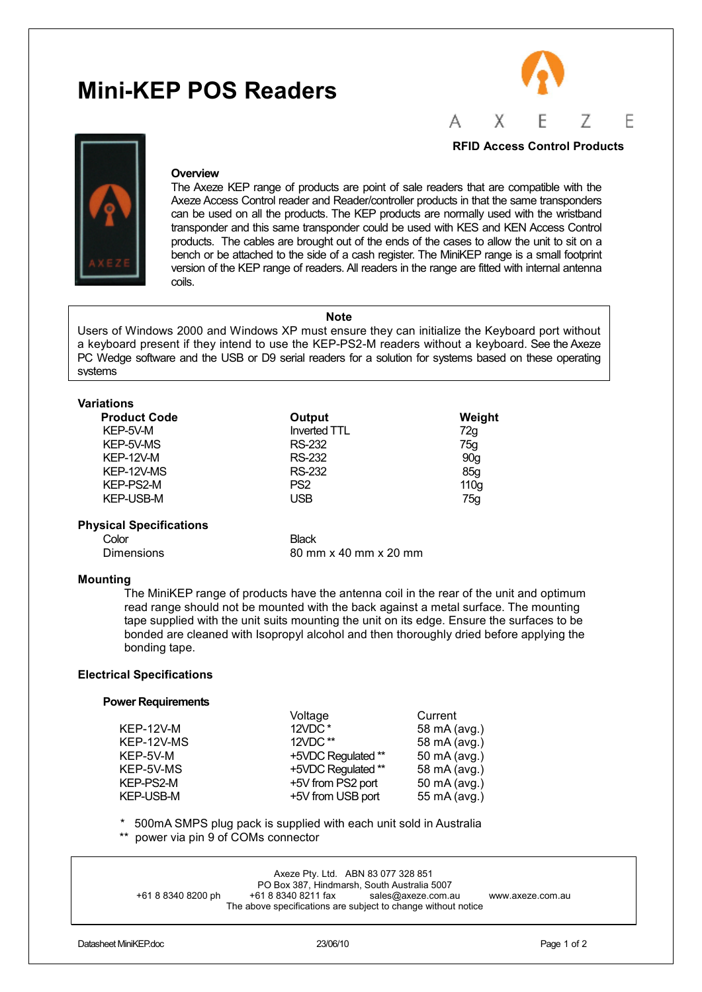# **Mini-KEP POS Readers**





#### **Overview**

The Axeze KEP range of products are point of sale readers that are compatible with the Axeze Access Control reader and Reader/controller products in that the same transponders can be used on all the products. The KEP products are normally used with the wristband transponder and this same transponder could be used with KES and KEN Access Control products. The cables are brought out of the ends of the cases to allow the unit to sit on a bench or be attached to the side of a cash register. The MiniKEP range is a small footprint version of the KEP range of readers. All readers in the range are fitted with internal antenna coils.

### **Note**

Users of Windows 2000 and Windows XP must ensure they can initialize the Keyboard port without a keyboard present if they intend to use the KEP-PS2-M readers without a keyboard. See the Axeze PC Wedge software and the USB or D9 serial readers for a solution for systems based on these operating systems

| <b>Variations</b>              |                       |                  |
|--------------------------------|-----------------------|------------------|
| <b>Product Code</b>            | Output                | Weight           |
| KEP-5V-M                       | Inverted TTL          | 72g              |
| KEP-5V-MS                      | <b>RS-232</b>         | 75g              |
| <b>KEP-12V-M</b>               | RS-232                | 90q              |
| KEP-12V-MS                     | <b>RS-232</b>         | 85q              |
| KEP-PS2-M                      | PS <sub>2</sub>       | 110 <sub>g</sub> |
| <b>KEP-USB-M</b>               | <b>USB</b>            | 75g              |
| <b>Physical Specifications</b> |                       |                  |
| Color                          | <b>Black</b>          |                  |
| Dimensions                     | 80 mm x 40 mm x 20 mm |                  |

### **Mounting**

The MiniKEP range of products have the antenna coil in the rear of the unit and optimum read range should not be mounted with the back against a metal surface. The mounting tape supplied with the unit suits mounting the unit on its edge. Ensure the surfaces to be bonded are cleaned with Isopropyl alcohol and then thoroughly dried before applying the bonding tape.

#### **Electrical Specifications**

#### **Power Requirements**

|                  | Voltage            | Current      |
|------------------|--------------------|--------------|
| <b>KEP-12V-M</b> | 12VDC*             | 58 mA (avg.) |
| KEP-12V-MS       | $12VDC$ **         | 58 mA (avg.) |
| KEP-5V-M         | +5VDC Regulated ** | 50 mA (avg.) |
| KEP-5V-MS        | +5VDC Regulated ** | 58 mA (avg.) |
| KEP-PS2-M        | +5V from PS2 port  | 50 mA (avg.) |
| <b>KEP-USB-M</b> | +5V from USB port  | 55 mA (avg.) |
|                  |                    |              |

\* 500mA SMPS plug pack is supplied with each unit sold in Australia<br>\*\* power via pin 0 of COMe connector

power via pin 9 of COMs connector

|                    | Axeze Pty. Ltd. ABN 83 077 328 851                                                   | PO Box 387. Hindmarsh, South Australia 5007 |                  |
|--------------------|--------------------------------------------------------------------------------------|---------------------------------------------|------------------|
| +61 8 8340 8200 ph | +61 8 8340 8211 fax<br>The above specifications are subject to change without notice | sales@axeze.com.au                          | www.axeze.com.au |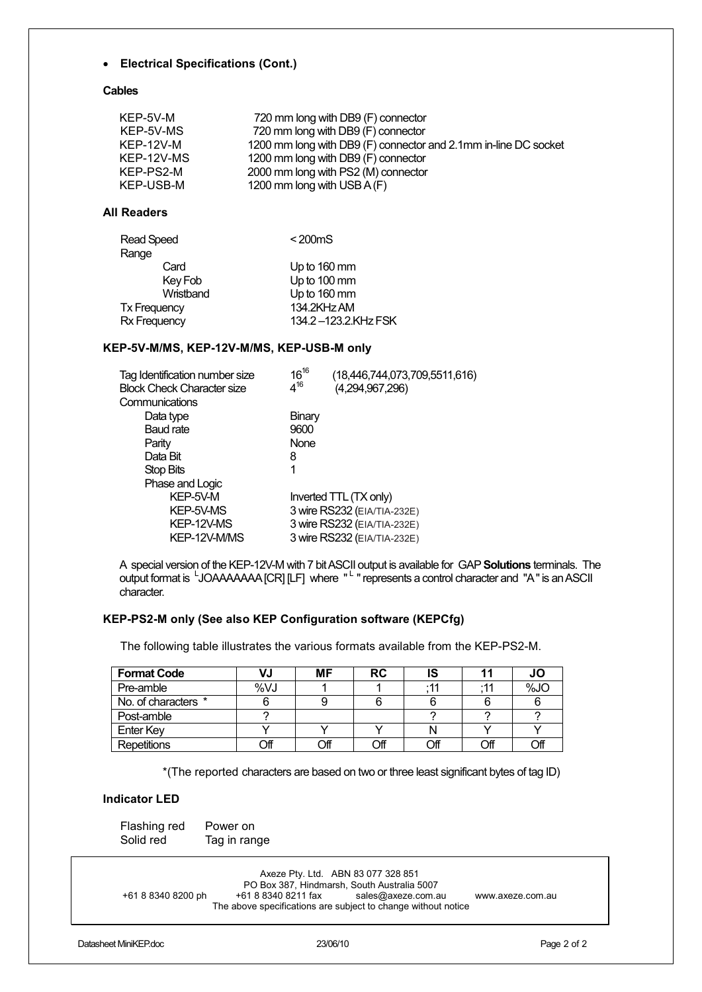## • **Electrical Specifications (Cont.)**

## **Cables**

| KEP-5V-M   | 720 mm long with DB9 (F) connector                              |
|------------|-----------------------------------------------------------------|
| KEP-5V-MS  | 720 mm long with DB9 (F) connector                              |
| KEP-12V-M  | 1200 mm long with DB9 (F) connector and 2.1mm in-line DC socket |
| KEP-12V-MS | 1200 mm long with DB9 (F) connector                             |
| KEP-PS2-M  | 2000 mm long with PS2 (M) connector                             |
| KEP-USB-M  | 1200 mm long with USB A (F)                                     |
|            |                                                                 |

# **All Readers**

| Read Speed          | $<$ 200 $ms$        |
|---------------------|---------------------|
| Range               |                     |
| Card                | Up to 160 mm        |
| Key Fob             | Up to 100 mm        |
| Wristband           | Up to 160 mm        |
| <b>Tx Frequency</b> | 134.2KHz AM         |
| Rx Frequency        | 134.2-123.2.KHz FSK |
|                     |                     |

## **KEP-5V-M/MS, KEP-12V-M/MS, KEP-USB-M only**

| Tag Identification number size<br><b>Block Check Character size</b> | $16^{16}$<br>$4^{16}$ | (18,446,744,073,709,5511,616)<br>(4,294,967,296) |
|---------------------------------------------------------------------|-----------------------|--------------------------------------------------|
| Communications                                                      |                       |                                                  |
| Data type                                                           | Binary                |                                                  |
| Baud rate                                                           | 9600                  |                                                  |
| Parity                                                              | None                  |                                                  |
| Data Bit                                                            | 8                     |                                                  |
| Stop Bits                                                           | 1                     |                                                  |
| Phase and Logic                                                     |                       |                                                  |
| KEP-5V-M                                                            |                       | Inverted TTL (TX only)                           |
| KEP-5V-MS                                                           |                       | 3 wire RS232 (EIA/TIA-232E)                      |
| KEP-12V-MS                                                          |                       | 3 wire RS232 (EIA/TIA-232E)                      |
| KEP-12V-M/MS                                                        |                       | 3 wire RS232 (EIA/TIA-232E)                      |
|                                                                     |                       |                                                  |

A special version of the KEP-12V-M with 7 bit ASCII output is available for GAP **Solutions** terminals. The output format is <sup>L</sup>JOAAAAAAA [CR] [LF] where " <sup>L</sup> " represents a control character and "A" is an ASCII character.

## **KEP-PS2-M only (See also KEP Configuration software (KEPCfg)**

The following table illustrates the various formats available from the KEP-PS2-M.

| <b>Format Code</b>  | VJ  | <b>MF</b> | <b>RC</b> | IS    |     | JO  |
|---------------------|-----|-----------|-----------|-------|-----|-----|
| Pre-amble           | %VJ |           |           | $-11$ | :11 | %JO |
| No. of characters * |     |           |           |       |     |     |
| Post-amble          |     |           |           |       |     |     |
| <b>Enter Key</b>    |     |           |           |       |     |     |
| Repetitions         | ЭfГ | ∩ff       | Off       |       | Off | Off |

\*(The reported characters are based on two or three least significant bytes of tag ID)

## **Indicator LED**

 Flashing red Power on Solid red Tag in range

Axeze Pty. Ltd. ABN 83 077 328 851 PO Box 387, Hindmarsh, South Australia 5007<br>61 8 8340 8211 fax sales@axeze.com.au +61 8 8340 8200 ph +61 8 8340 8211 fax sales@axeze.com.au www.axeze.com.au The above specifications are subject to change without notice